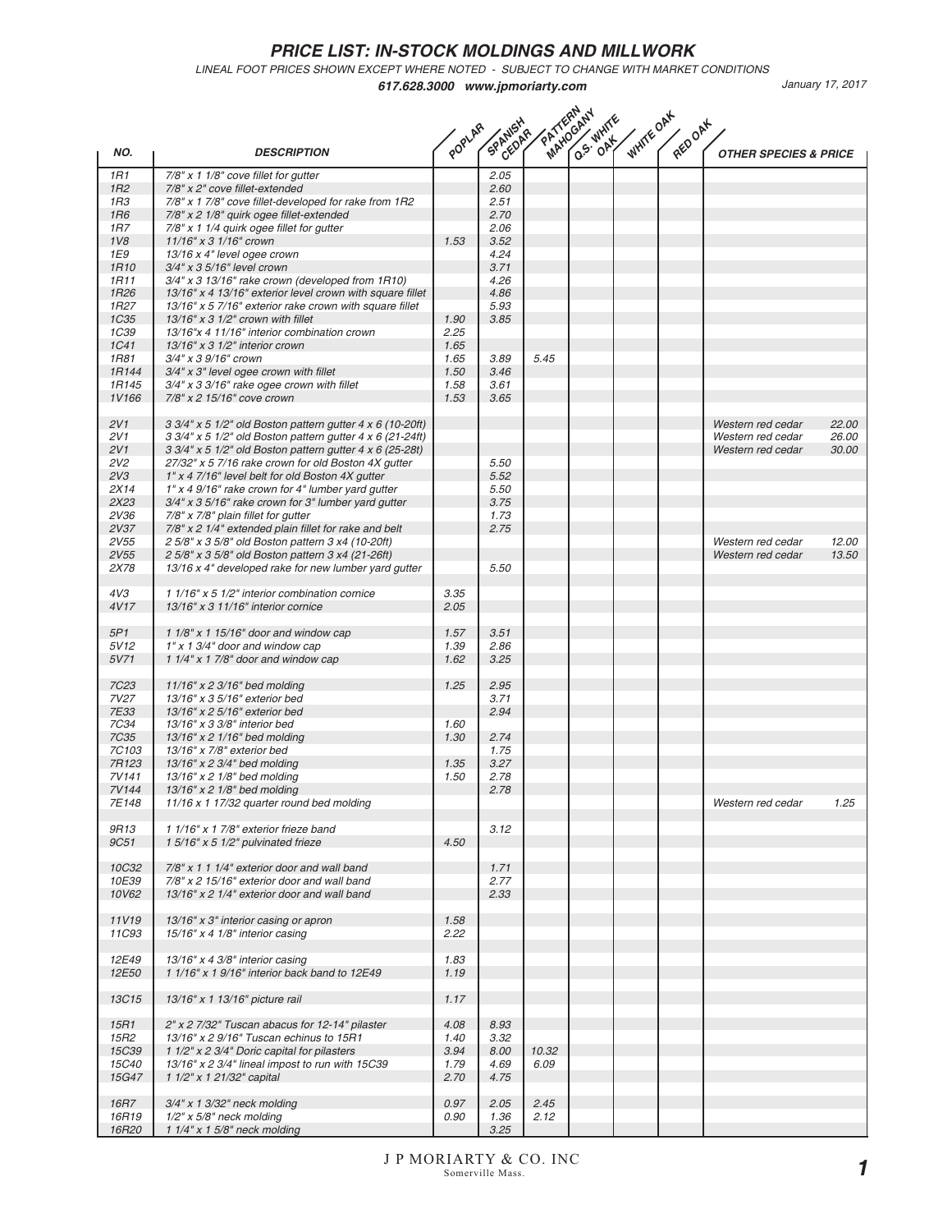LINEAL FOOT PRICES SHOWN EXCEPT WHERE NOTED - SUBJECT TO CHANGE WITH MARKET CONDITIONS

|                   | PATTERMAN<br><b>WHITE OAK</b><br>HOUR WHITE<br>SPANISHA<br>RED OAK<br>POPLAR                                           |      |              |       |  |  |  |                                                          |  |
|-------------------|------------------------------------------------------------------------------------------------------------------------|------|--------------|-------|--|--|--|----------------------------------------------------------|--|
| NO.               | <b>DESCRIPTION</b>                                                                                                     |      |              |       |  |  |  | <b>OTHER SPECIES &amp; PRICE</b>                         |  |
| 1R1               | $7/8"$ x 1 1/8" cove fillet for gutter                                                                                 |      | 2.05         |       |  |  |  |                                                          |  |
| 1R2               | 7/8" x 2" cove fillet-extended                                                                                         |      | 2.60         |       |  |  |  |                                                          |  |
| 1R3<br><b>1R6</b> | 7/8" x 1 7/8" cove fillet-developed for rake from 1R2                                                                  |      | 2.51<br>2.70 |       |  |  |  |                                                          |  |
| 1R7               | 7/8" x 2 1/8" quirk ogee fillet-extended<br>7/8" x 1 1/4 quirk ogee fillet for gutter                                  |      | 2.06         |       |  |  |  |                                                          |  |
| 1V8               | 11/16" x 3 1/16" crown                                                                                                 | 1.53 | 3.52         |       |  |  |  |                                                          |  |
| 1E9               | 13/16 x 4" level ogee crown                                                                                            |      | 4.24         |       |  |  |  |                                                          |  |
| <b>1R10</b>       | 3/4" x 3 5/16" level crown                                                                                             |      | 3.71         |       |  |  |  |                                                          |  |
| <b>1R11</b>       | 3/4" x 3 13/16" rake crown (developed from 1R10)                                                                       |      | 4.26         |       |  |  |  |                                                          |  |
| 1R <sub>26</sub>  | 13/16" x 4 13/16" exterior level crown with square fillet                                                              |      | 4.86         |       |  |  |  |                                                          |  |
| 1R <sub>27</sub>  | 13/16" x 5 7/16" exterior rake crown with square fillet                                                                |      | 5.93         |       |  |  |  |                                                          |  |
| <b>1C35</b>       | $13/16"$ x 3 $1/2"$ crown with fillet                                                                                  | 1.90 | 3.85         |       |  |  |  |                                                          |  |
| 1C <sub>39</sub>  | 13/16"x 4 11/16" interior combination crown                                                                            | 2.25 |              |       |  |  |  |                                                          |  |
| <b>1C41</b>       | $13/16"$ x 3 $1/2"$ interior crown                                                                                     | 1.65 |              |       |  |  |  |                                                          |  |
| <b>1R81</b>       | 3/4" x 3 9/16" crown                                                                                                   | 1.65 | 3.89         | 5.45  |  |  |  |                                                          |  |
| 1R144             | 3/4" x 3" level ogee crown with fillet                                                                                 | 1.50 | 3.46         |       |  |  |  |                                                          |  |
| 1R145             | $3/4$ " x 3 $3/16$ " rake ogee crown with fillet                                                                       | 1.58 | 3.61         |       |  |  |  |                                                          |  |
| 1V166             | 7/8" x 2 15/16" cove crown                                                                                             | 1.53 | 3.65         |       |  |  |  |                                                          |  |
|                   |                                                                                                                        |      |              |       |  |  |  |                                                          |  |
| 2V1<br>2V1        | 3 3/4" x 5 1/2" old Boston pattern gutter 4 x 6 (10-20ft)<br>3 3/4" x 5 1/2" old Boston pattern gutter 4 x 6 (21-24ft) |      |              |       |  |  |  | Western red cedar<br>22.00<br>Western red cedar<br>26.00 |  |
| 2V1               | 3 3/4" x 5 1/2" old Boston pattern gutter 4 x 6 (25-28t)                                                               |      |              |       |  |  |  | 30.00<br>Western red cedar                               |  |
| 2V <sub>2</sub>   | 27/32" x 5 7/16 rake crown for old Boston 4X gutter                                                                    |      | 5.50         |       |  |  |  |                                                          |  |
| 2V3               | 1" x 4 7/16" level belt for old Boston 4X gutter                                                                       |      | 5.52         |       |  |  |  |                                                          |  |
| 2X14              | 1" x 4 9/16" rake crown for 4" lumber yard gutter                                                                      |      | 5.50         |       |  |  |  |                                                          |  |
| 2X23              | $3/4$ " x 3 5/16" rake crown for 3" lumber yard gutter                                                                 |      | 3.75         |       |  |  |  |                                                          |  |
| 2V36              | 7/8" x 7/8" plain fillet for gutter                                                                                    |      | 1.73         |       |  |  |  |                                                          |  |
| 2V37              | 7/8" x 2 1/4" extended plain fillet for rake and belt                                                                  |      | 2.75         |       |  |  |  |                                                          |  |
| 2V55              | 2 5/8" x 3 5/8" old Boston pattern 3 x4 (10-20ft)                                                                      |      |              |       |  |  |  | 12.00<br>Western red cedar                               |  |
| 2V55              | 2 5/8" x 3 5/8" old Boston pattern 3 x4 (21-26ft)                                                                      |      |              |       |  |  |  | 13.50<br>Western red cedar                               |  |
| 2X78              | 13/16 x 4" developed rake for new lumber yard gutter                                                                   |      | 5.50         |       |  |  |  |                                                          |  |
| 4V3               | 1 1/16" x 5 1/2" interior combination cornice                                                                          | 3.35 |              |       |  |  |  |                                                          |  |
| 4V17              | 13/16" x 3 11/16" interior cornice                                                                                     | 2.05 |              |       |  |  |  |                                                          |  |
| 5P1               | 1 $1/8$ " x 1 $15/16$ " door and window cap                                                                            | 1.57 | 3.51         |       |  |  |  |                                                          |  |
| 5V12              | $1"$ x 1 3/4" door and window cap                                                                                      | 1.39 | 2.86         |       |  |  |  |                                                          |  |
| 5V71              | 1 $1/4$ " x 1 $7/8$ " door and window cap                                                                              | 1.62 | 3.25         |       |  |  |  |                                                          |  |
| <b>7C23</b>       | 11/16" x 2 3/16" bed molding                                                                                           | 1.25 | 2.95         |       |  |  |  |                                                          |  |
| 7V27              | 13/16" x 3 5/16" exterior bed                                                                                          |      | 3.71         |       |  |  |  |                                                          |  |
| 7E33              | 13/16" x 2 5/16" exterior bed                                                                                          |      | 2.94         |       |  |  |  |                                                          |  |
| 7C34              | 13/16" x 3 3/8" interior bed                                                                                           | 1.60 |              |       |  |  |  |                                                          |  |
| <b>7C35</b>       | 13/16" x 2 1/16" bed molding                                                                                           | 1.30 | 2.74         |       |  |  |  |                                                          |  |
| 7C103             | 13/16" x 7/8" exterior bed                                                                                             |      | 1.75         |       |  |  |  |                                                          |  |
| 7R123             | 13/16" x 2 3/4" bed molding                                                                                            | 1.35 | 3.27         |       |  |  |  |                                                          |  |
| 7V141<br>7V144    | 13/16" x 2 1/8" bed molding<br>13/16" x 2 1/8" bed molding                                                             | 1.50 | 2.78         |       |  |  |  |                                                          |  |
| 7E148             | 11/16 x 1 17/32 quarter round bed molding                                                                              |      | 2.78         |       |  |  |  | 1 25<br>Western red cedar                                |  |
|                   |                                                                                                                        |      |              |       |  |  |  |                                                          |  |
| 9R13              | 1 1/16" x 1 7/8" exterior frieze band                                                                                  |      | 3.12         |       |  |  |  |                                                          |  |
| <b>9C51</b>       | 1 5/16" x 5 1/2" pulvinated frieze                                                                                     | 4.50 |              |       |  |  |  |                                                          |  |
|                   |                                                                                                                        |      |              |       |  |  |  |                                                          |  |
| <b>10C32</b>      | $7/8"$ x 1 1 1/4" exterior door and wall band                                                                          |      | 1.71         |       |  |  |  |                                                          |  |
| 10E39             | 7/8" x 2 15/16" exterior door and wall band                                                                            |      | 2.77         |       |  |  |  |                                                          |  |
| 10V62             | 13/16" x 2 1/4" exterior door and wall band                                                                            |      | 2.33         |       |  |  |  |                                                          |  |
|                   |                                                                                                                        |      |              |       |  |  |  |                                                          |  |
| 11V19             | 13/16" x 3" interior casing or apron                                                                                   | 1.58 |              |       |  |  |  |                                                          |  |
| 11C93             | $15/16$ " x 4 $1/8$ " interior casing                                                                                  | 2.22 |              |       |  |  |  |                                                          |  |
| 12E49             | $13/16"$ x 4 3/8" interior casing                                                                                      | 1.83 |              |       |  |  |  |                                                          |  |
| 12E50             | 1 1/16" x 1 9/16" interior back band to 12E49                                                                          | 1.19 |              |       |  |  |  |                                                          |  |
|                   |                                                                                                                        |      |              |       |  |  |  |                                                          |  |
| <b>13C15</b>      | 13/16" x 1 13/16" picture rail                                                                                         | 1.17 |              |       |  |  |  |                                                          |  |
| 15R1              | 2" x 2 7/32" Tuscan abacus for 12-14" pilaster                                                                         | 4.08 | 8.93         |       |  |  |  |                                                          |  |
| 15R2              | 13/16" x 2 9/16" Tuscan echinus to 15R1                                                                                | 1.40 | 3.32         |       |  |  |  |                                                          |  |
| <b>15C39</b>      | 1 1/2" x 2 3/4" Doric capital for pilasters                                                                            | 3.94 | 8.00         | 10.32 |  |  |  |                                                          |  |
| <b>15C40</b>      | 13/16" x 2 3/4" lineal impost to run with 15C39                                                                        | 1.79 | 4.69         | 6.09  |  |  |  |                                                          |  |
| <b>15G47</b>      | 1 1/2" x 1 21/32" capital                                                                                              | 2.70 | 4.75         |       |  |  |  |                                                          |  |
| <b>16R7</b>       | $3/4$ " x 1 $3/32$ " neck molding                                                                                      | 0.97 | 2.05         | 2.45  |  |  |  |                                                          |  |
| 16R19             | $1/2$ " x $5/8$ " neck molding                                                                                         | 0.90 | 1.36         | 2.12  |  |  |  |                                                          |  |
| 16R20             | 1 1/4" x 1 5/8" neck molding                                                                                           |      | 3.25         |       |  |  |  |                                                          |  |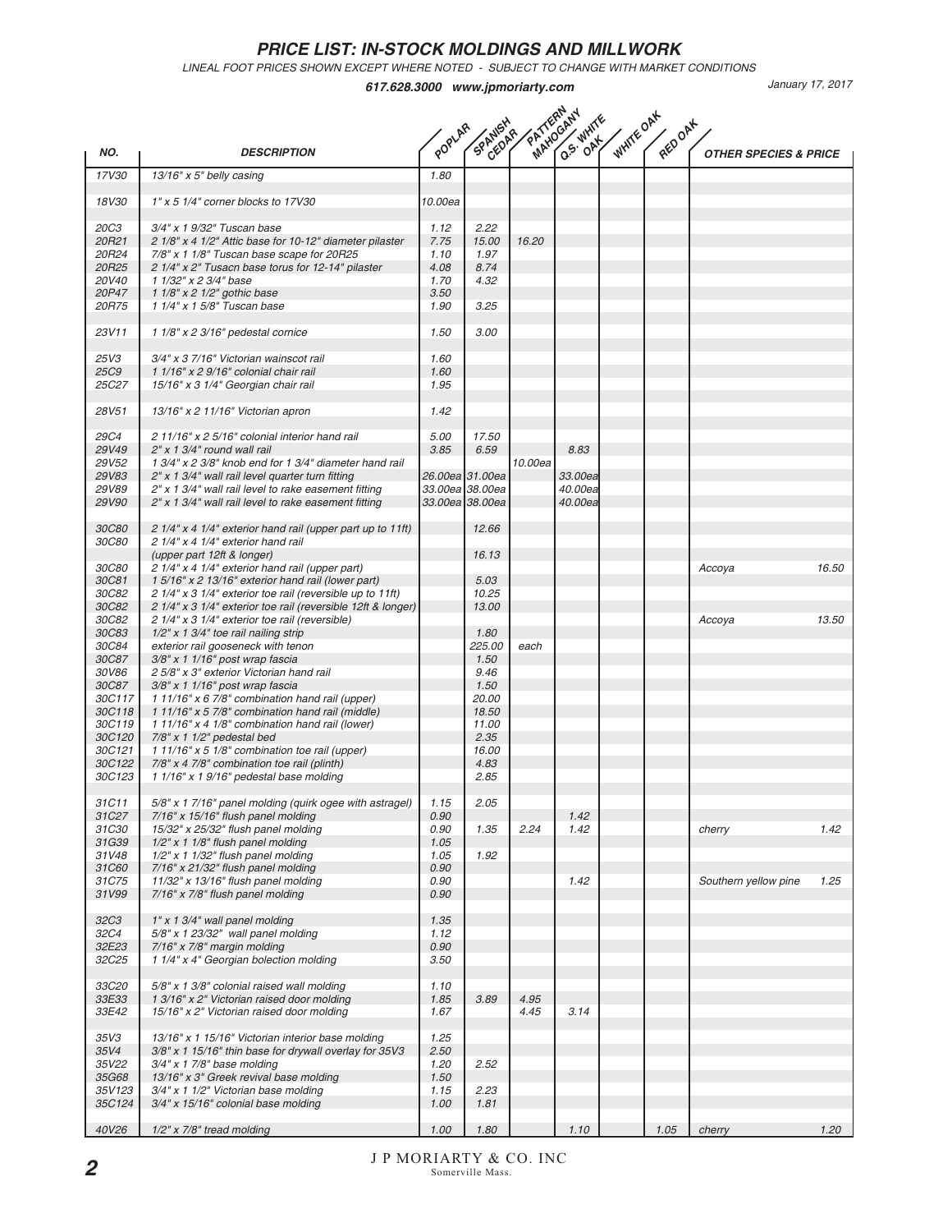LINEAL FOOT PRICES SHOWN EXCEPT WHERE NOTED - SUBJECT TO CHANGE WITH MARKET CONDITIONS

|                              | PATTEMANY<br><b>WHITE OAK</b><br>HU-S-WHITE<br>SPANISH<br>REDOAK<br>POPLAR                       |              |                 |         |         |  |      |                                  |       |
|------------------------------|--------------------------------------------------------------------------------------------------|--------------|-----------------|---------|---------|--|------|----------------------------------|-------|
| NO.                          | <b>DESCRIPTION</b>                                                                               |              |                 |         |         |  |      | <b>OTHER SPECIES &amp; PRICE</b> |       |
| 17V30                        | $13/16"$ x 5" belly casing                                                                       | 1.80         |                 |         |         |  |      |                                  |       |
| 18V30                        | 1" x 5 1/4" corner blocks to 17V30                                                               | 10.00ea      |                 |         |         |  |      |                                  |       |
| <b>20C3</b>                  | 3/4" x 1 9/32" Tuscan base                                                                       | 1.12         | 2.22            |         |         |  |      |                                  |       |
| 20R21                        | 2 1/8" x 4 1/2" Attic base for 10-12" diameter pilaster                                          | 7.75         | 15.00           | 16.20   |         |  |      |                                  |       |
| 20R24<br>20R25               | 7/8" x 1 1/8" Tuscan base scape for 20R25                                                        | 1.10         | 1.97<br>8.74    |         |         |  |      |                                  |       |
| 20V40                        | 2 1/4" x 2" Tusacn base torus for 12-14" pilaster<br>1 1/32" x 2 3/4" base                       | 4.08<br>1.70 | 4.32            |         |         |  |      |                                  |       |
| 20P47                        | 1 1/8" x 2 1/2" gothic base                                                                      | 3.50         |                 |         |         |  |      |                                  |       |
| 20R75                        | 1 1/4" x 1 5/8" Tuscan base                                                                      | 1.90         | 3.25            |         |         |  |      |                                  |       |
| 23V11                        | $11/8"$ x 2 3/16" pedestal cornice                                                               | 1.50         | 3.00            |         |         |  |      |                                  |       |
| 25V3                         | 3/4" x 3 7/16" Victorian wainscot rail                                                           | 1.60         |                 |         |         |  |      |                                  |       |
| <b>25C9</b>                  | 1 1/16" x 2 9/16" colonial chair rail                                                            | 1.60         |                 |         |         |  |      |                                  |       |
| 25C27                        | 15/16" x 3 1/4" Georgian chair rail                                                              | 1.95         |                 |         |         |  |      |                                  |       |
| 28V51                        | 13/16" x 2 11/16" Victorian apron                                                                | 1.42         |                 |         |         |  |      |                                  |       |
| <b>29C4</b>                  | 2 11/16" x 2 5/16" colonial interior hand rail                                                   | 5.00         | 17.50           |         |         |  |      |                                  |       |
| <b>29V49</b><br>29V52        | 2" x 1 3/4" round wall rail<br>1 3/4" x 2 3/8" knob end for 1 3/4" diameter hand rail            | 3.85         | 6.59            | 10.00ea | 8.83    |  |      |                                  |       |
| <b>29V83</b>                 | 2" x 1 3/4" wall rail level quarter turn fitting                                                 |              | 26.00ea 31.00ea |         | 33.00ea |  |      |                                  |       |
| 29V89                        | 2" x 1 3/4" wall rail level to rake easement fitting                                             |              | 33.00ea 38.00ea |         | 40.00ea |  |      |                                  |       |
| 29V90                        | 2" x 1 3/4" wall rail level to rake easement fitting                                             |              | 33.00ea 38.00ea |         | 40.00ea |  |      |                                  |       |
| <b>30C80</b><br><b>30C80</b> | 2 1/4" x 4 1/4" exterior hand rail (upper part up to 11ft)<br>2 1/4" x 4 1/4" exterior hand rail |              | 12.66           |         |         |  |      |                                  |       |
|                              | (upper part 12ft & longer)                                                                       |              | 16.13           |         |         |  |      |                                  |       |
| <b>30C80</b>                 | 2 1/4" x 4 1/4" exterior hand rail (upper part)                                                  |              |                 |         |         |  |      | Accoya                           | 16.50 |
| 30C81                        | 1 5/16" x 2 13/16" exterior hand rail (lower part)                                               |              | 5.03            |         |         |  |      |                                  |       |
| 30C82                        | 2 1/4" x 3 1/4" exterior toe rail (reversible up to 11ft)                                        |              | 10.25           |         |         |  |      |                                  |       |
| <b>30C82</b>                 | 2 1/4" x 3 1/4" exterior toe rail (reversible 12ft & longer)                                     |              | 13.00           |         |         |  |      |                                  |       |
| 30C82                        | 2 1/4" x 3 1/4" exterior toe rail (reversible)                                                   |              |                 |         |         |  |      | Accoya                           | 13.50 |
| <b>30C83</b><br>30C84        | $1/2"$ x 1 3/4" toe rail nailing strip<br>exterior rail gooseneck with tenon                     |              | 1.80<br>225.00  | each    |         |  |      |                                  |       |
| 30C87                        | $3/8"$ x 1 1/16" post wrap fascia                                                                |              | 1.50            |         |         |  |      |                                  |       |
| 30V86                        | 2 5/8" x 3" exterior Victorian hand rail                                                         |              | 9.46            |         |         |  |      |                                  |       |
| 30C87                        | 3/8" x 1 1/16" post wrap fascia                                                                  |              | 1.50            |         |         |  |      |                                  |       |
| 30C117                       | 1 11/16" x 6 7/8" combination hand rail (upper)                                                  |              | 20.00           |         |         |  |      |                                  |       |
| 30C118                       | 1 11/16" x 5 7/8" combination hand rail (middle)                                                 |              | 18.50           |         |         |  |      |                                  |       |
| 30C119                       | 1 11/16" x 4 1/8" combination hand rail (lower)                                                  |              | 11.00           |         |         |  |      |                                  |       |
| 30C120                       | $7/8"$ x 1 1/2" pedestal bed                                                                     |              | 2.35            |         |         |  |      |                                  |       |
| 30C121<br>30C122             | 1 11/16" x 5 1/8" combination toe rail (upper)                                                   |              | 16.00           |         |         |  |      |                                  |       |
| 30C123                       | $7/8" x 4 7/8" combination to e rail (plinth)$<br>1 1/16" x 1 9/16" pedestal base molding        |              | 4.83<br>2.85    |         |         |  |      |                                  |       |
| 31C11                        | 5/8" x 1 7/16" panel molding (quirk ogee with astragel)                                          | 1.15         | 2.05            |         |         |  |      |                                  |       |
| 31C27                        | $7/16"$ x $15/16"$ flush panel molding                                                           | 0.90         |                 |         | 1.42    |  |      |                                  |       |
| <i>31C30</i>                 | 15/32" x 25/32" flush panel molding                                                              | 0.90         | 1.35            | 2.24    | 1.42    |  |      | cherry                           | 1.42  |
| 31G39<br>31V48               | $1/2"$ x 1 $1/8"$ flush panel molding<br>$1/2$ " x 1 $1/32$ " flush panel molding                | 1.05<br>1.05 | 1.92            |         |         |  |      |                                  |       |
| 31C60                        | 7/16" x 21/32" flush panel molding                                                               | 0.90         |                 |         |         |  |      |                                  |       |
| 31C75                        | $11/32''$ x $13/16''$ flush panel molding                                                        | 0.90         |                 |         | 1.42    |  |      | Southern yellow pine             | 1.25  |
| 31V99                        | 7/16" x 7/8" flush panel molding                                                                 | 0.90         |                 |         |         |  |      |                                  |       |
| 32C <sub>3</sub>             | $1"$ x 1 3/4" wall panel molding                                                                 | 1.35         |                 |         |         |  |      |                                  |       |
| 32C4<br>32E23                | 5/8" x 1 23/32" wall panel molding<br>7/16" x 7/8" margin molding                                | 1.12<br>0.90 |                 |         |         |  |      |                                  |       |
| 32C25                        | 1 1/4" x 4" Georgian bolection molding                                                           | 3.50         |                 |         |         |  |      |                                  |       |
|                              |                                                                                                  |              |                 |         |         |  |      |                                  |       |
| 33C20<br>33E33               | 5/8" x 1 3/8" colonial raised wall molding<br>1 3/16" x 2" Victorian raised door molding         | 1.10<br>1.85 | 3.89            | 4.95    |         |  |      |                                  |       |
| 33E42                        | 15/16" x 2" Victorian raised door molding                                                        | 1.67         |                 | 4.45    | 3.14    |  |      |                                  |       |
| 35V3                         | 13/16" x 1 15/16" Victorian interior base molding                                                | 1.25         |                 |         |         |  |      |                                  |       |
| 35V4                         | 3/8" x 1 15/16" thin base for drywall overlay for 35V3                                           | 2.50         |                 |         |         |  |      |                                  |       |
| 35V22                        | $3/4$ " x 1 7/8" base molding                                                                    | 1.20         | 2.52            |         |         |  |      |                                  |       |
| 35G68                        | 13/16" x 3" Greek revival base molding                                                           | 1.50         |                 |         |         |  |      |                                  |       |
| 35V123                       | 3/4" x 1 1/2" Victorian base molding                                                             | 1.15         | 2.23            |         |         |  |      |                                  |       |
| 35C124                       | 3/4" x 15/16" colonial base molding                                                              | 1.00         | 1.81            |         |         |  |      |                                  |       |
| 40V26                        | $1/2"$ x 7/8" tread molding                                                                      | 1.00         | 1.80            |         | 1.10    |  | 1.05 | cherry                           | 1.20  |
|                              |                                                                                                  |              |                 |         |         |  |      |                                  |       |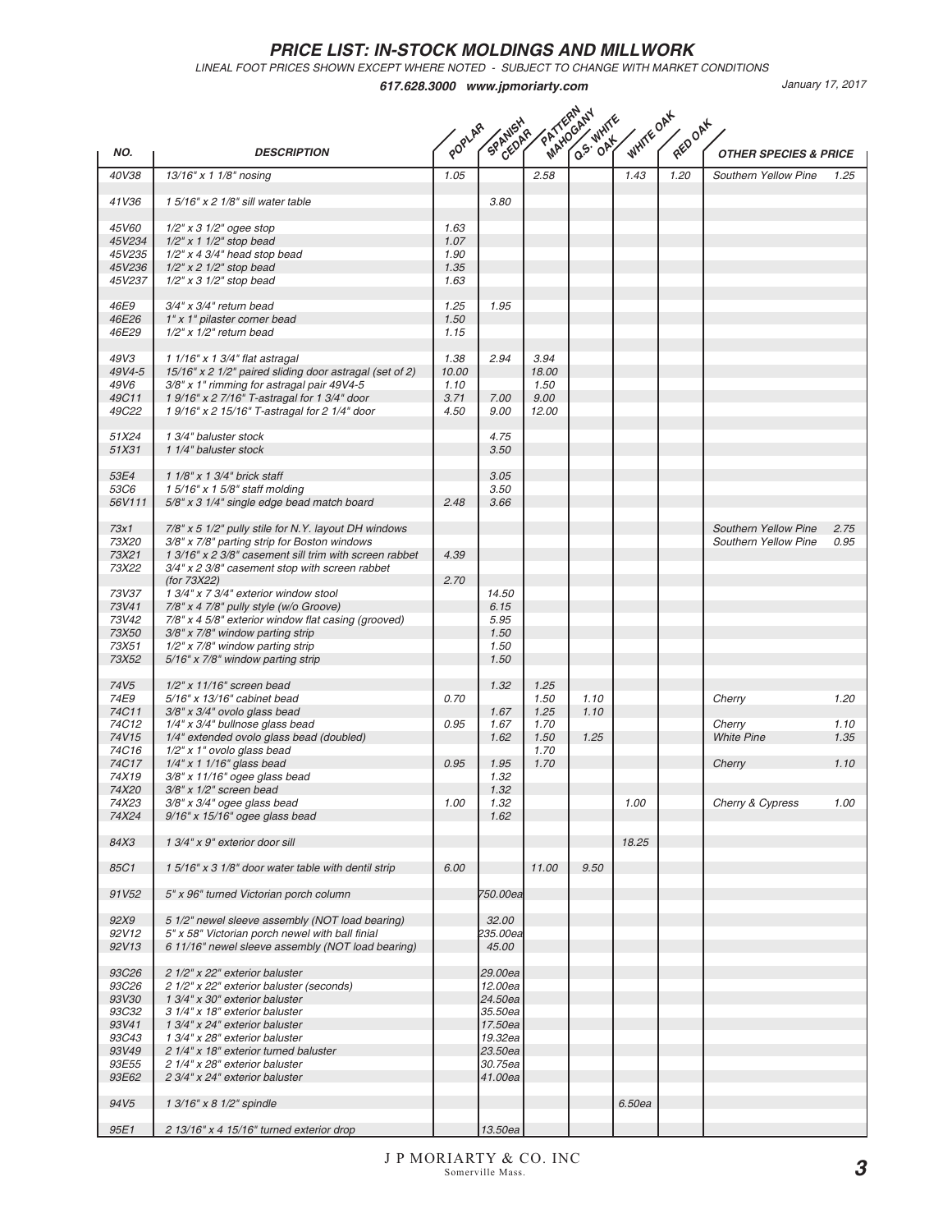LINEAL FOOT PRICES SHOWN EXCEPT WHERE NOTED - SUBJECT TO CHANGE WITH MARKET CONDITIONS

|                       | PATTEMPAHY<br>WHITE OAK<br>HUW S. WHITE<br>SPANISHA<br>RED OAK<br>POPLAR |       |                    |       |      |        |      |                                  |      |  |
|-----------------------|--------------------------------------------------------------------------|-------|--------------------|-------|------|--------|------|----------------------------------|------|--|
| NO.                   | <b>DESCRIPTION</b>                                                       |       |                    |       |      |        |      | <b>OTHER SPECIES &amp; PRICE</b> |      |  |
| 40V38                 | 13/16" x 1 1/8" nosing                                                   | 1.05  |                    | 2.58  |      | 1.43   | 1.20 | Southern Yellow Pine             | 1.25 |  |
| 41V36                 | 1 5/16" x 2 1/8" sill water table                                        |       | 3.80               |       |      |        |      |                                  |      |  |
| 45V60                 | $1/2$ " x 3 $1/2$ " ogee stop                                            | 1.63  |                    |       |      |        |      |                                  |      |  |
| 45V234                | $1/2$ " x 1 $1/2$ " stop bead                                            | 1.07  |                    |       |      |        |      |                                  |      |  |
| 45V235                | $1/2"$ x 4 3/4" head stop bead                                           | 1.90  |                    |       |      |        |      |                                  |      |  |
| 45V236                | $1/2$ " x 2 $1/2$ " stop bead                                            | 1.35  |                    |       |      |        |      |                                  |      |  |
| 45V237                | $1/2$ " x 3 $1/2$ " stop bead                                            | 1.63  |                    |       |      |        |      |                                  |      |  |
| 46E9                  | $3/4$ " x $3/4$ " return bead                                            | 1.25  | 1.95               |       |      |        |      |                                  |      |  |
| 46E26                 | 1" x 1" pilaster corner bead                                             | 1.50  |                    |       |      |        |      |                                  |      |  |
| 46E29                 | $1/2"$ x $1/2"$ return bead                                              | 1.15  |                    |       |      |        |      |                                  |      |  |
| 49V3                  | 1 1/16" x 1 3/4" flat astragal                                           | 1.38  | 2.94               | 3.94  |      |        |      |                                  |      |  |
| 49V4-5                | 15/16" x 2 1/2" paired sliding door astragal (set of 2)                  | 10.00 |                    | 18.00 |      |        |      |                                  |      |  |
| 49V6                  | 3/8" x 1" rimming for astragal pair 49V4-5                               | 1.10  |                    | 1.50  |      |        |      |                                  |      |  |
| 49C11                 | 1 9/16" x 2 7/16" T-astragal for 1 3/4" door                             | 3.71  | 7.00               | 9.00  |      |        |      |                                  |      |  |
| 49C22                 | 1 9/16" x 2 15/16" T-astragal for 2 1/4" door                            | 4.50  | 9.00               | 12.00 |      |        |      |                                  |      |  |
| 51X24                 | 1 3/4" baluster stock                                                    |       | 4.75               |       |      |        |      |                                  |      |  |
| 51X31                 | 1 1/4" baluster stock                                                    |       | 3.50               |       |      |        |      |                                  |      |  |
| 53E4                  | 1 1/8" x 1 3/4" brick staff                                              |       | 3.05               |       |      |        |      |                                  |      |  |
| 53C6                  | 1 5/16" x 1 5/8" staff molding                                           |       | 3.50               |       |      |        |      |                                  |      |  |
| 56V111                | 5/8" x 3 1/4" single edge bead match board                               | 2.48  | 3.66               |       |      |        |      |                                  |      |  |
| 73x1                  | 7/8" x 5 1/2" pully stile for N.Y. layout DH windows                     |       |                    |       |      |        |      | <b>Southern Yellow Pine</b>      | 2.75 |  |
| 73X20                 | 3/8" x 7/8" parting strip for Boston windows                             |       |                    |       |      |        |      | <b>Southern Yellow Pine</b>      | 0.95 |  |
| 73X21                 | 1 3/16" x 2 3/8" casement sill trim with screen rabbet                   | 4.39  |                    |       |      |        |      |                                  |      |  |
| 73X22                 | 3/4" x 2 3/8" casement stop with screen rabbet                           |       |                    |       |      |        |      |                                  |      |  |
|                       | (for 73X22)                                                              | 2.70  |                    |       |      |        |      |                                  |      |  |
| 73V37                 | 1 3/4" x 7 3/4" exterior window stool                                    |       | 14.50              |       |      |        |      |                                  |      |  |
| 73V41                 | 7/8" x 4 7/8" pully style (w/o Groove)                                   |       | 6.15               |       |      |        |      |                                  |      |  |
| 73V42                 | 7/8" x 4 5/8" exterior window flat casing (grooved)                      |       | 5.95               |       |      |        |      |                                  |      |  |
| 73X50<br>73X51        | $3/8"$ x 7/8" window parting strip<br>$1/2"$ x 7/8" window parting strip |       | 1.50<br>1.50       |       |      |        |      |                                  |      |  |
| 73X52                 | 5/16" x 7/8" window parting strip                                        |       | 1.50               |       |      |        |      |                                  |      |  |
| 74V <sub>5</sub>      | $1/2"$ x $11/16"$ screen bead                                            |       | 1.32               | 1.25  |      |        |      |                                  |      |  |
| 74E9                  | 5/16" x 13/16" cabinet bead                                              | 0.70  |                    | 1.50  | 1.10 |        |      | Cherry                           | 1.20 |  |
| 74C11                 | $3/8"$ x $3/4"$ ovolo glass bead                                         |       | 1.67               | 1.25  | 1.10 |        |      |                                  |      |  |
| 74C12                 | 1/4" x 3/4" bullnose glass bead                                          | 0.95  | 1.67               | 1.70  |      |        |      | Cherry                           | 1.10 |  |
| 74V15                 | 1/4" extended ovolo glass bead (doubled)                                 |       | 1.62               | 1.50  | 1.25 |        |      | <b>White Pine</b>                | 1.35 |  |
| 74C16                 | 1/2" x 1" ovolo glass bead                                               |       |                    | 1.70  |      |        |      |                                  |      |  |
| 74C17<br>74X19        | $1/4$ " x 1 $1/16$ " glass bead<br>3/8" x 11/16" ogee glass bead         | 0.95  | 1.95<br>1.32       | 1.70  |      |        |      | Cherry                           | 1.10 |  |
| 74X20                 | $3/8$ " x $1/2$ " screen bead                                            |       | 1.32               |       |      |        |      |                                  |      |  |
| 74X23                 | 3/8" x 3/4" ogee glass bead                                              | 1.00  | 1.32               |       |      | 1.00   |      | Cherry & Cypress                 | 1.00 |  |
| 74X24                 | $9/16$ " x $15/16$ " ogee glass bead                                     |       | 1.62               |       |      |        |      |                                  |      |  |
| 84X3                  | 1 3/4" x 9" exterior door sill                                           |       |                    |       |      | 18.25  |      |                                  |      |  |
|                       |                                                                          |       |                    |       |      |        |      |                                  |      |  |
| 85C1                  | 15/16" x 3 1/8" door water table with dentil strip                       | 6.00  |                    | 11.00 | 9.50 |        |      |                                  |      |  |
| 91V52                 | 5" x 96" turned Victorian porch column                                   |       | 750.00ea           |       |      |        |      |                                  |      |  |
| 92X9                  | 5 1/2" newel sleeve assembly (NOT load bearing)                          |       | 32.00              |       |      |        |      |                                  |      |  |
| 92V12                 | 5" x 58" Victorian porch newel with ball finial                          |       | 235.00ea           |       |      |        |      |                                  |      |  |
| 92V13                 | 6 11/16" newel sleeve assembly (NOT load bearing)                        |       | 45.00              |       |      |        |      |                                  |      |  |
| 93C26                 | 2 1/2" x 22" exterior baluster                                           |       | 29.00ea            |       |      |        |      |                                  |      |  |
| 93C26                 | 2 1/2" x 22" exterior baluster (seconds)                                 |       | 12.00ea            |       |      |        |      |                                  |      |  |
| <i>93V30</i>          | 1 3/4" x 30" exterior baluster                                           |       | 24.50ea            |       |      |        |      |                                  |      |  |
| <i>93C32</i>          | 3 1/4" x 18" exterior baluster                                           |       | 35.50ea            |       |      |        |      |                                  |      |  |
| 93V41<br><b>93C43</b> | 1 3/4" x 24" exterior baluster<br>1 3/4" x 28" exterior baluster         |       | 17.50ea<br>19.32ea |       |      |        |      |                                  |      |  |
| 93V49                 | 2 1/4" x 18" exterior turned baluster                                    |       | 23.50ea            |       |      |        |      |                                  |      |  |
| 93E55                 | 2 1/4" x 28" exterior baluster                                           |       | 30.75ea            |       |      |        |      |                                  |      |  |
| 93E62                 | 2 3/4" x 24" exterior baluster                                           |       | 41.00ea            |       |      |        |      |                                  |      |  |
| 94V <sub>5</sub>      | 1 3/16" x 8 1/2" spindle                                                 |       |                    |       |      | 6.50ea |      |                                  |      |  |
|                       |                                                                          |       |                    |       |      |        |      |                                  |      |  |
| 95E1                  | 2 13/16" x 4 15/16" turned exterior drop                                 |       | 13.50ea            |       |      |        |      |                                  |      |  |